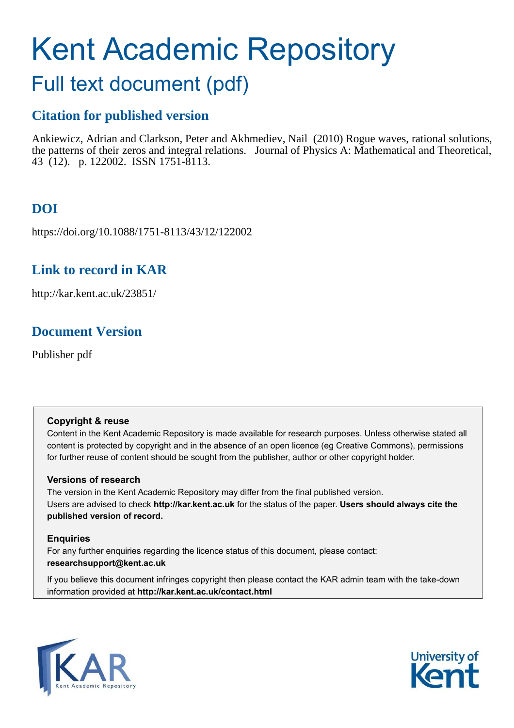# Kent Academic Repository

## Full text document (pdf)

## **Citation for published version**

Ankiewicz, Adrian and Clarkson, Peter and Akhmediev, Nail (2010) Rogue waves, rational solutions, the patterns of their zeros and integral relations. Journal of Physics A: Mathematical and Theoretical, 43 (12). p. 122002. ISSN 1751-8113.

## **DOI**

https://doi.org/10.1088/1751-8113/43/12/122002

## **Link to record in KAR**

http://kar.kent.ac.uk/23851/

## **Document Version**

Publisher pdf

#### **Copyright & reuse**

Content in the Kent Academic Repository is made available for research purposes. Unless otherwise stated all content is protected by copyright and in the absence of an open licence (eg Creative Commons), permissions for further reuse of content should be sought from the publisher, author or other copyright holder.

#### **Versions of research**

The version in the Kent Academic Repository may differ from the final published version. Users are advised to check **http://kar.kent.ac.uk** for the status of the paper. **Users should always cite the published version of record.**

#### **Enquiries**

For any further enquiries regarding the licence status of this document, please contact: **researchsupport@kent.ac.uk**

If you believe this document infringes copyright then please contact the KAR admin team with the take-down information provided at **http://kar.kent.ac.uk/contact.html**



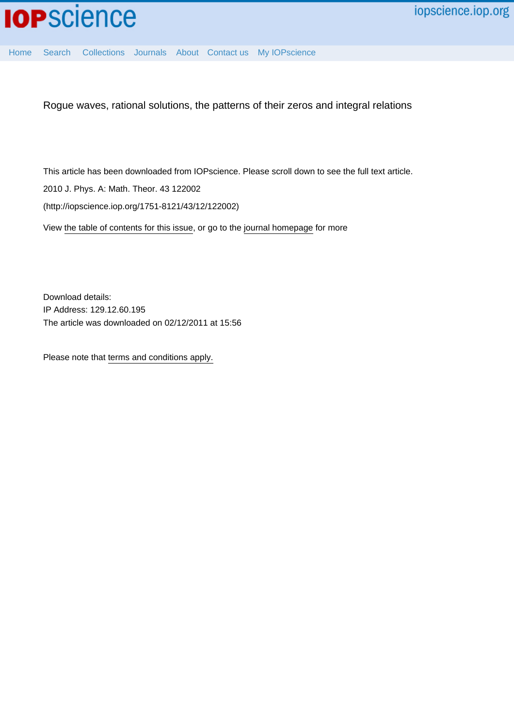<span id="page-1-0"></span>

[Home](http://iopscience.iop.org/) [Search](http://iopscience.iop.org/search) [Collections](http://iopscience.iop.org/collections) [Journals](http://iopscience.iop.org/journals) [About](http://iopscience.iop.org/page/aboutioppublishing) [Contact us](http://iopscience.iop.org/contact) [My IOPscience](http://iopscience.iop.org/myiopscience)

Rogue waves, rational solutions, the patterns of their zeros and integral relations

This article has been downloaded from IOPscience. Please scroll down to see the full text article.

2010 J. Phys. A: Math. Theor. 43 122002

(http://iopscience.iop.org/1751-8121/43/12/122002)

View [the table of contents for this issue](http://iopscience.iop.org/1751-8121/43/12), or go to the [journal homepage](http://iopscience.iop.org/1751-8121) for more

Download details: IP Address: 129.12.60.195 The article was downloaded on 02/12/2011 at 15:56

Please note that [terms and conditions apply.](http://iopscience.iop.org/page/terms)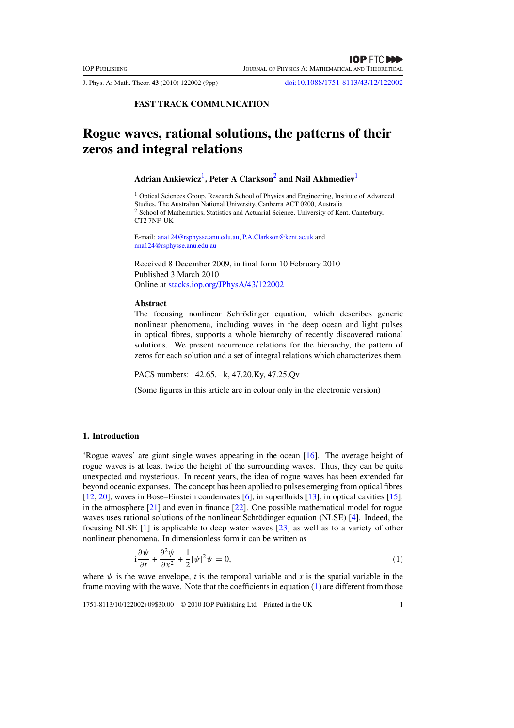<span id="page-2-0"></span>J. Phys. A: Math. Theor. **43** (2010) 122002 (9pp) [doi:10.1088/1751-8113/43/12/122002](http://dx.doi.org/10.1088/1751-8113/43/12/122002)

**FAST TRACK COMMUNICATION**

### **Rogue waves, rational solutions, the patterns of their zeros and integral relations**

#### **Adrian Ankiewicz**[1](#page-1-0) **, Peter A Clarkson**[2](#page-1-0) **and Nail Akhmediev**[1](#page-1-0)

<sup>1</sup> Optical Sciences Group, Research School of Physics and Engineering, Institute of Advanced Studies, The Australian National University, Canberra ACT 0200, Australia <sup>2</sup> School of Mathematics, Statistics and Actuarial Science, University of Kent, Canterbury, CT2 7NF, UK

E-mail: [ana124@rsphysse.anu.edu.au,](mailto:ana124@rsphysse.anu.edu.au) [P.A.Clarkson@kent.ac.uk](mailto:P.A.Clarkson@kent.ac.uk) and [nna124@rsphysse.anu.edu.au](mailto:nna124@rsphysse.anu.edu.au)

Received 8 December 2009, in final form 10 February 2010 Published 3 March 2010 Online at [stacks.iop.org/JPhysA/43/122002](http://stacks.iop.org/JPhysA/43/122002)

#### **Abstract**

The focusing nonlinear Schrödinger equation, which describes generic nonlinear phenomena, including waves in the deep ocean and light pulses in optical fibres, supports a whole hierarchy of recently discovered rational solutions. We present recurrence relations for the hierarchy, the pattern of zeros for each solution and a set of integral relations which characterizes them.

PACS numbers: 42.65.−k, 47.20.Ky, 47.25.Qv

(Some figures in this article are in colour only in the electronic version)

#### **1. Introduction**

'Rogue waves' are giant single waves appearing in the ocean [\[16](#page-9-0)]. The average height of rogue waves is at least twice the height of the surrounding waves. Thus, they can be quite unexpected and mysterious. In recent years, the idea of rogue waves has been extended far beyond oceanic expanses. The concept has been applied to pulses emerging from optical fibres [\[12](#page-9-0), [20](#page-9-0)], waves in Bose–Einstein condensates [\[6\]](#page-9-0), in superfluids [\[13\]](#page-9-0), in optical cavities [\[15\]](#page-9-0), in the atmosphere [\[21\]](#page-9-0) and even in finance [\[22\]](#page-9-0). One possible mathematical model for rogue waves uses rational solutions of the nonlinear Schrödinger equation (NLSE) [[4\]](#page-9-0). Indeed, the focusing NLSE [\[1\]](#page-9-0) is applicable to deep water waves [\[23\]](#page-9-0) as well as to a variety of other nonlinear phenomena. In dimensionless form it can be written as

$$
i\frac{\partial\psi}{\partial t} + \frac{\partial^2\psi}{\partial x^2} + \frac{1}{2}|\psi|^2\psi = 0,
$$
\n(1)

where  $\psi$  is the wave envelope, *t* is the temporal variable and *x* is the spatial variable in the frame moving with the wave. Note that the coefficients in equation [\(1\)](#page-1-0) are different from those

1751-8113/10/122002+09\$30.00 © 2010 IOP Publishing Ltd Printed in the UK 1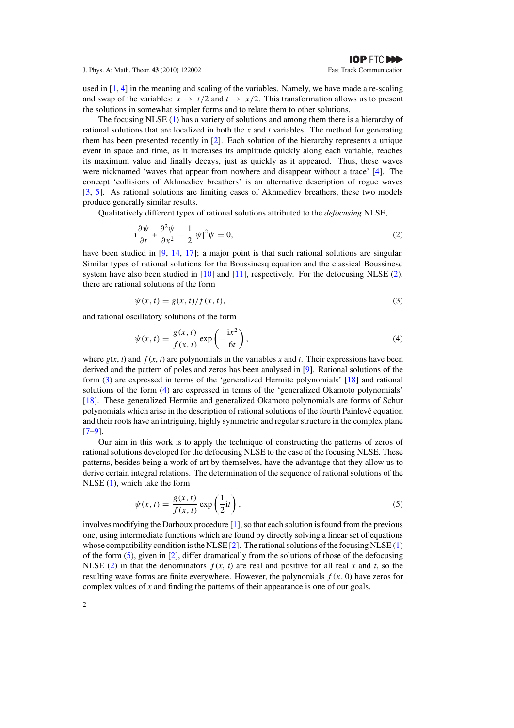<span id="page-3-0"></span>used in  $[1, 4]$  $[1, 4]$  in the meaning and scaling of the variables. Namely, we have made a re-scaling and swap of the variables:  $x \to t/2$  and  $t \to x/2$ . This transformation allows us to present the solutions in somewhat simpler forms and to relate them to other solutions.

The focusing NLSE [\(1\)](#page-1-0) has a variety of solutions and among them there is a hierarchy of rational solutions that are localized in both the *x* and *t* variables. The method for generating them has been presented recently in [\[2](#page-9-0)]. Each solution of the hierarchy represents a unique event in space and time, as it increases its amplitude quickly along each variable, reaches its maximum value and finally decays, just as quickly as it appeared. Thus, these waves were nicknamed 'waves that appear from nowhere and disappear without a trace' [\[4](#page-9-0)]. The concept 'collisions of Akhmediev breathers' is an alternative description of rogue waves [\[3](#page-9-0), [5](#page-9-0)]. As rational solutions are limiting cases of Akhmediev breathers, these two models produce generally similar results.

Qualitatively different types of rational solutions attributed to the *defocusing* NLSE,

$$
i\frac{\partial\psi}{\partial t} + \frac{\partial^2\psi}{\partial x^2} - \frac{1}{2}|\psi|^2\psi = 0,
$$
\n(2)

have been studied in [\[9](#page-9-0), [14](#page-9-0), [17](#page-9-0)]; a major point is that such rational solutions are singular. Similar types of rational solutions for the Boussinesq equation and the classical Boussinesq system have also been studied in  $[10]$  and  $[11]$ , respectively. For the defocusing NLSE [\(2\)](#page-2-0), there are rational solutions of the form

$$
\psi(x,t) = g(x,t)/f(x,t),\tag{3}
$$

and rational oscillatory solutions of the form

$$
\psi(x,t) = \frac{g(x,t)}{f(x,t)} \exp\left(-\frac{\mathrm{i}x^2}{6t}\right),\tag{4}
$$

where  $g(x, t)$  and  $f(x, t)$  are polynomials in the variables x and t. Their expressions have been derived and the pattern of poles and zeros has been analysed in [\[9\]](#page-9-0). Rational solutions of the form [\(3\)](#page-2-0) are expressed in terms of the 'generalized Hermite polynomials' [\[18\]](#page-9-0) and rational solutions of the form [\(4\)](#page-2-0) are expressed in terms of the 'generalized Okamoto polynomials' [\[18](#page-9-0)]. These generalized Hermite and generalized Okamoto polynomials are forms of Schur polynomials which arise in the description of rational solutions of the fourth Painlevé equation and their roots have an intriguing, highly symmetric and regular structure in the complex plane [\[7–9](#page-9-0)].

Our aim in this work is to apply the technique of constructing the patterns of zeros of rational solutions developed for the defocusing NLSE to the case of the focusing NLSE. These patterns, besides being a work of art by themselves, have the advantage that they allow us to derive certain integral relations. The determination of the sequence of rational solutions of the NLSE [\(1\)](#page-1-0), which take the form

$$
\psi(x,t) = \frac{g(x,t)}{f(x,t)} \exp\left(\frac{1}{2}it\right),\tag{5}
$$

involves modifying the Darboux procedure [\[1\]](#page-9-0), so that each solution is found from the previous one, using intermediate functions which are found by directly solving a linear set of equations whose compatibility condition is the NLSE  $[2]$ . The rational solutions of the focusing NLSE  $(1)$ of the form [\(5\)](#page-2-0), given in [\[2\]](#page-9-0), differ dramatically from the solutions of those of the defocusing NLSE [\(2\)](#page-2-0) in that the denominators  $f(x, t)$  are real and positive for all real *x* and *t*, so the resulting wave forms are finite everywhere. However, the polynomials  $f(x, 0)$  have zeros for complex values of *x* and finding the patterns of their appearance is one of our goals.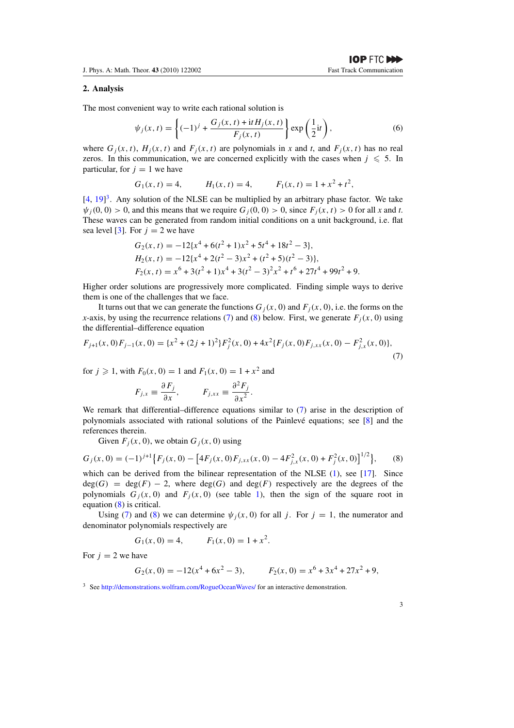#### **2. Analysis**

The most convenient way to write each rational solution is

$$
\psi_j(x,t) = \left\{ (-1)^j + \frac{G_j(x,t) + \mathrm{i}t H_j(x,t)}{F_j(x,t)} \right\} \exp\left(\frac{1}{2}\mathrm{i}t\right),\tag{6}
$$

where  $G_i(x, t)$ ,  $H_i(x, t)$  and  $F_i(x, t)$  are polynomials in *x* and *t*, and  $F_i(x, t)$  has no real zeros. In this communication, we are concerned explicitly with the cases when  $j \le 5$ . In particular, for  $j = 1$  we have

$$
G_1(x, t) = 4,
$$
  $H_1(x, t) = 4,$   $F_1(x, t) = 1 + x^2 + t^2,$ 

 $[4, 19]$  $[4, 19]$  $[4, 19]$ <sup>[3](#page-3-0)</sup>. Any solution of the NLSE can be multiplied by an arbitrary phase factor. We take  $\psi_i(0,0) > 0$ , and this means that we require  $G_i(0,0) > 0$ , since  $F_i(x, t) > 0$  for all x and t. These waves can be generated from random initial conditions on a unit background, i.e. flat sea level [\[3\]](#page-9-0). For  $j = 2$  we have

$$
G_2(x, t) = -12\{x^4 + 6(t^2 + 1)x^2 + 5t^4 + 18t^2 - 3\},
$$
  
\n
$$
H_2(x, t) = -12\{x^4 + 2(t^2 - 3)x^2 + (t^2 + 5)(t^2 - 3)\},
$$
  
\n
$$
F_2(x, t) = x^6 + 3(t^2 + 1)x^4 + 3(t^2 - 3)^2x^2 + t^6 + 27t^4 + 99t^2 + 9.
$$

Higher order solutions are progressively more complicated. Finding simple ways to derive them is one of the challenges that we face.

It turns out that we can generate the functions  $G_i(x, 0)$  and  $F_i(x, 0)$ , i.e. the forms on the *x*-axis, by using the recurrence relations [\(7\)](#page-3-0) and [\(8\)](#page-3-0) below. First, we generate  $F_i(x, 0)$  using the differential–difference equation

$$
F_{j+1}(x,0)F_{j-1}(x,0) = \{x^2 + (2j+1)^2\}F_j^2(x,0) + 4x^2\{F_j(x,0)F_{j,xx}(x,0) - F_{j,x}^2(x,0)\},\tag{7}
$$

for  $j \ge 1$ , with  $F_0(x, 0) = 1$  and  $F_1(x, 0) = 1 + x^2$  and

$$
F_{j,x} \equiv \frac{\partial F_j}{\partial x}, \qquad F_{j,xx} \equiv \frac{\partial^2 F_j}{\partial x^2}.
$$

We remark that differential–difference equations similar to [\(7\)](#page-3-0) arise in the description of polynomials associated with rational solutions of the Painlevé equations; see  $[8]$  $[8]$  $[8]$  and the references therein.

Given  $F_i(x, 0)$ , we obtain  $G_i(x, 0)$  using

$$
G_j(x,0) = (-1)^{j+1} \{ F_j(x,0) - \left[ 4F_j(x,0)F_{j,xx}(x,0) - 4F_{j,x}^2(x,0) + F_j^2(x,0) \right]^{1/2} \},
$$
 (8)

which can be derived from the bilinear representation of the NLSE [\(1\)](#page-1-0), see [\[17](#page-9-0)]. Since  $deg(G) = deg(F) - 2$ , where  $deg(G)$  and  $deg(F)$  respectively are the degrees of the polynomials  $G_i(x, 0)$  and  $F_i(x, 0)$  (see table 1), then the sign of the square root in equation [\(8\)](#page-3-0) is critical.

Using [\(7\)](#page-3-0) and [\(8\)](#page-3-0) we can determine  $\psi_i(x, 0)$  for all j. For  $j = 1$ , the numerator and denominator polynomials respectively are

$$
G_1(x, 0) = 4, \qquad F_1(x, 0) = 1 + x^2.
$$

For  $i = 2$  we have

$$
G_2(x, 0) = -12(x^4 + 6x^2 - 3), \qquad F_2(x, 0) = x^6 + 3x^4 + 27x^2 + 9,
$$

<sup>&</sup>lt;sup>3</sup> See <http://demonstrations.wolfram.com/RogueOceanWaves/> for an interactive demonstration.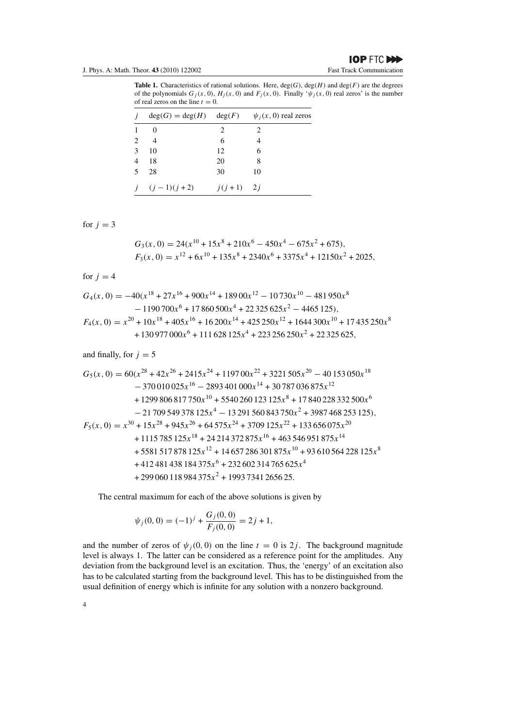<span id="page-5-0"></span>J. Phys. A: Math. Theor. **43** (2010) 122002 Fast Track Communication

**Table 1.** Characteristics of rational solutions. Here,  $deg(G)$ ,  $deg(H)$  and  $deg(F)$  are the degrees of the polynomials  $G_j(x, 0)$ ,  $H_j(x, 0)$  and  $F_j(x, 0)$ . Finally ' $\psi_j(x, 0)$  real zeros' is the number of real zeros on the line  $t = 0$ .

| $\overline{\mathbf{I}}$ |                  |                     | $deg(G) = deg(H)$ $deg(F)$ $\psi_i(x, 0)$ real zeros |
|-------------------------|------------------|---------------------|------------------------------------------------------|
|                         | $\Omega$         | 2                   | 2                                                    |
| 2                       | $\overline{4}$   | 6                   |                                                      |
| 3                       | 10               | 12                  | 6                                                    |
| $\overline{4}$          | 18               | 20                  | 8                                                    |
| $\sim$                  | 28               | 30                  | 10                                                   |
|                         | $i$ $(j-1)(j+2)$ | $i(i+1)$ 2 <i>i</i> |                                                      |

for  $j = 3$ 

$$
G_3(x, 0) = 24(x^{10} + 15x^8 + 210x^6 - 450x^4 - 675x^2 + 675),
$$
  
\n
$$
F_3(x, 0) = x^{12} + 6x^{10} + 135x^8 + 2340x^6 + 3375x^4 + 12150x^2 + 2025,
$$

for  $j = 4$ 

$$
G_4(x, 0) = -40(x^{18} + 27x^{16} + 900x^{14} + 18900x^{12} - 10730x^{10} - 481950x^8
$$
  
- 1190700x<sup>6</sup> + 17860500x<sup>4</sup> + 22325625x<sup>2</sup> - 4465125),  

$$
F_4(x, 0) = x^{20} + 10x^{18} + 405x^{16} + 16200x^{14} + 425250x^{12} + 1644300x^{10} + 17435250x^8
$$
  
+ 130977000x<sup>6</sup> + 111628125x<sup>4</sup> + 223256250x<sup>2</sup> + 22325625,

and finally, for  $j = 5$ 

$$
G_5(x, 0) = 60(x^{28} + 42x^{26} + 2415x^{24} + 119700x^{22} + 3221505x^{20} - 40153050x^{18}
$$
  
\n
$$
- 370010025x^{16} - 2893401000x^{14} + 30787036875x^{12}
$$
  
\n
$$
+ 1299806817750x^{10} + 5540260123125x^8 + 17840228332500x^6
$$
  
\n
$$
- 21709549378125x^4 - 13291560843750x^2 + 3987468253125),
$$
  
\n
$$
F_5(x, 0) = x^{30} + 15x^{28} + 945x^{26} + 64575x^{24} + 3709125x^{22} + 133656075x^{20}
$$
  
\n
$$
+ 1115785125x^{18} + 24214372875x^{16} + 463546951875x^{14}
$$
  
\n
$$
+ 5581517878125x^{12} + 14657286301875x^{10} + 93610564228125x^8
$$
  
\n
$$
+ 412481438184375x^6 + 232602314765625x^4
$$
  
\n+ 299060118984375x<sup>2</sup> + 19937341265625.

The central maximum for each of the above solutions is given by

$$
\psi_j(0,0) = (-1)^j + \frac{G_j(0,0)}{F_j(0,0)} = 2j + 1,
$$

and the number of zeros of  $\psi_i(0, 0)$  on the line  $t = 0$  is 2*j*. The background magnitude level is always 1. The latter can be considered as a reference point for the amplitudes. Any deviation from the background level is an excitation. Thus, the 'energy' of an excitation also has to be calculated starting from the background level. This has to be distinguished from the usual definition of energy which is infinite for any solution with a nonzero background.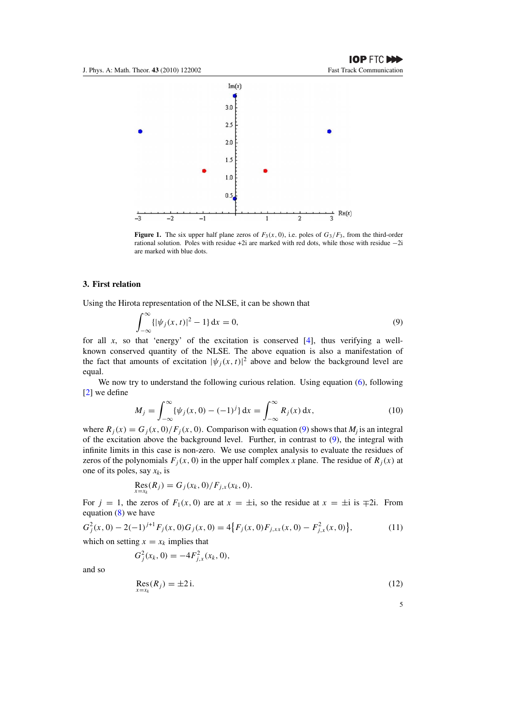<span id="page-6-0"></span>

**Figure 1.** The six upper half plane zeros of  $F_3(x, 0)$ , i.e. poles of  $G_3/F_3$ , from the third-order rational solution. Poles with residue +2i are marked with red dots, while those with residue −2i are marked with blue dots.

#### **3. First relation**

Using the Hirota representation of the NLSE, it can be shown that

$$
\int_{-\infty}^{\infty} {\{|\psi_j(x,t)|^2 - 1\}} \, \mathrm{d}x = 0,\tag{9}
$$

for all  $x$ , so that 'energy' of the excitation is conserved  $[4]$  $[4]$ , thus verifying a wellknown conserved quantity of the NLSE. The above equation is also a manifestation of the fact that amounts of excitation  $|\psi_j(x, t)|^2$  above and below the background level are equal.

We now try to understand the following curious relation. Using equation [\(6\)](#page-3-0), following [\[2](#page-9-0)] we define

$$
M_j = \int_{-\infty}^{\infty} {\{\psi_j(x,0) - (-1)^j\} dx} = \int_{-\infty}^{\infty} R_j(x) dx,
$$
 (10)

where  $R_j(x) = G_j(x, 0) / F_j(x, 0)$ . Comparison with equation [\(9\)](#page-5-0) shows that  $M_j$  is an integral of the excitation above the background level. Further, in contrast to [\(9\)](#page-5-0), the integral with infinite limits in this case is non-zero. We use complex analysis to evaluate the residues of zeros of the polynomials  $F_i(x, 0)$  in the upper half complex *x* plane. The residue of  $R_i(x)$  at one of its poles, say *xk*, is

$$
\text{Res}_{x=x_k}(R_j) = G_j(x_k, 0) / F_{j,x}(x_k, 0).
$$

For  $j = 1$ , the zeros of  $F_1(x, 0)$  are at  $x = \pm i$ , so the residue at  $x = \pm i$  is  $\mp 2i$ . From equation [\(8\)](#page-3-0) we have

$$
G_j^2(x,0) - 2(-1)^{j+1} F_j(x,0) G_j(x,0) = 4\{F_j(x,0)F_{j,xx}(x,0) - F_{j,x}^2(x,0)\},
$$
\n(11)

which on setting  $x = x_k$  implies that

$$
G_j^2(x_k,0) = -4F_{j,x}^2(x_k,0),
$$

and so

$$
\mathop{\rm Res}_{x=x_k}(R_j) = \pm 2\,\mathrm{i}.\tag{12}
$$

5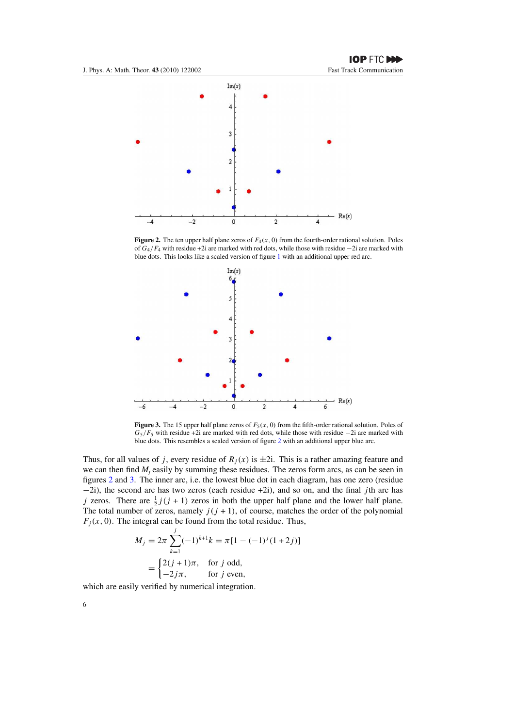<span id="page-7-0"></span>

**Figure 2.** The ten upper half plane zeros of  $F_4(x, 0)$  from the fourth-order rational solution. Poles of  $G_4/F_4$  with residue +2i are marked with red dots, while those with residue −2i are marked with blue dots. This looks like a scaled version of figure [1](#page-5-0) with an additional upper red arc.



**Figure 3.** The 15 upper half plane zeros of  $F_5(x, 0)$  from the fifth-order rational solution. Poles of  $G_5/F_5$  with residue +2i are marked with red dots, while those with residue −2i are marked with blue dots. This resembles a scaled version of figure [2](#page-6-0) with an additional upper blue arc.

Thus, for all values of j, every residue of  $R<sub>j</sub>(x)$  is  $\pm 2i$ . This is a rather amazing feature and we can then find  $M_i$  easily by summing these residues. The zeros form arcs, as can be seen in figures [2](#page-6-0) and [3.](#page-6-0) The inner arc, i.e. the lowest blue dot in each diagram, has one zero (residue  $-2i$ ), the second arc has two zeros (each residue +2i), and so on, and the final jth arc has j zeros. There are  $\frac{1}{2}j(j + 1)$  zeros in both the upper half plane and the lower half plane. The total number of zeros, namely  $j(j + 1)$ , of course, matches the order of the polynomial  $F_i(x, 0)$ . The integral can be found from the total residue. Thus,

$$
M_j = 2\pi \sum_{k=1}^j (-1)^{k+1} k = \pi [1 - (-1)^j (1+2j)]
$$
  
= 
$$
\begin{cases} 2(j+1)\pi, & \text{for } j \text{ odd,} \\ -2j\pi, & \text{for } j \text{ even,} \end{cases}
$$

which are easily verified by numerical integration.

6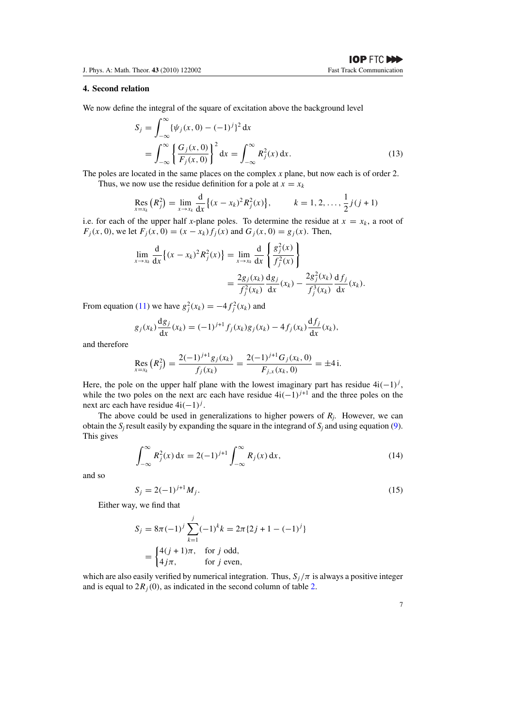#### **4. Second relation**

We now define the integral of the square of excitation above the background level

$$
S_j = \int_{-\infty}^{\infty} {\{\psi_j(x, 0) - (-1)^j\}^2 dx}
$$
  
= 
$$
\int_{-\infty}^{\infty} {\left{\frac{G_j(x, 0)}{F_j(x, 0)}\right}}^2 dx = \int_{-\infty}^{\infty} R_j^2(x) dx.
$$
 (13)

The poles are located in the same places on the complex *x* plane, but now each is of order 2.

Thus, we now use the residue definition for a pole at  $x = x_k$ 

$$
\operatorname{Res}_{x=x_k} (R_j^2) = \lim_{x \to x_k} \frac{d}{dx} \{ (x - x_k)^2 R_j^2(x) \}, \qquad k = 1, 2, \dots, \frac{1}{2} j(j+1)
$$

i.e. for each of the upper half *x*-plane poles. To determine the residue at  $x = x_k$ , a root of  $F_j(x, 0)$ , we let  $F_j(x, 0) = (x - x_k)f_j(x)$  and  $G_j(x, 0) = g_j(x)$ . Then,

$$
\lim_{x \to x_k} \frac{d}{dx} \{ (x - x_k)^2 R_j^2(x) \} = \lim_{x \to x_k} \frac{d}{dx} \left\{ \frac{g_j^2(x)}{f_j^2(x)} \right\} \n= \frac{2g_j(x_k)}{f_j^2(x_k)} \frac{dg_j}{dx}(x_k) - \frac{2g_j^2(x_k)}{f_j^3(x_k)} \frac{df_j}{dx}(x_k).
$$

From equation [\(11\)](#page-5-0) we have  $g_j^2(x_k) = -4f_j^2(x_k)$  and

$$
g_j(x_k)\frac{\mathrm{d}g_j}{\mathrm{d}x}(x_k) = (-1)^{j+1} f_j(x_k) g_j(x_k) - 4 f_j(x_k) \frac{\mathrm{d}f_j}{\mathrm{d}x}(x_k),
$$

and therefore

$$
\operatorname{Res}_{x=x_k} (R_j^2) = \frac{2(-1)^{j+1} g_j(x_k)}{f_j(x_k)} = \frac{2(-1)^{j+1} G_j(x_k, 0)}{F_{j,x}(x_k, 0)} = \pm 4 \, \mathrm{i}.
$$

Here, the pole on the upper half plane with the lowest imaginary part has residue  $4i(-1)^j$ , while the two poles on the next arc each have residue  $4i(-1)^{j+1}$  and the three poles on the next arc each have residue  $4i(-1)^j$ .

The above could be used in generalizations to higher powers of *R<sup>j</sup>* . However, we can obtain the  $S_i$  result easily by expanding the square in the integrand of  $S_i$  and using equation [\(9\)](#page-5-0). This gives

$$
\int_{-\infty}^{\infty} R_j^2(x) dx = 2(-1)^{j+1} \int_{-\infty}^{\infty} R_j(x) dx,
$$
 (14)

and so

$$
S_j = 2(-1)^{j+1} M_j.
$$
\n(15)

Either way, we find that

$$
S_j = 8\pi (-1)^j \sum_{k=1}^j (-1)^k k = 2\pi \{2j + 1 - (-1)^j\}
$$
  
= 
$$
\begin{cases} 4(j + 1)\pi, & \text{for } j \text{ odd,} \\ 4j\pi, & \text{for } j \text{ even,} \end{cases}
$$

which are also easily verified by numerical integration. Thus,  $S_i / \pi$  is always a positive integer and is equal to  $2R_i(0)$ , as indicated in the second column of table 2.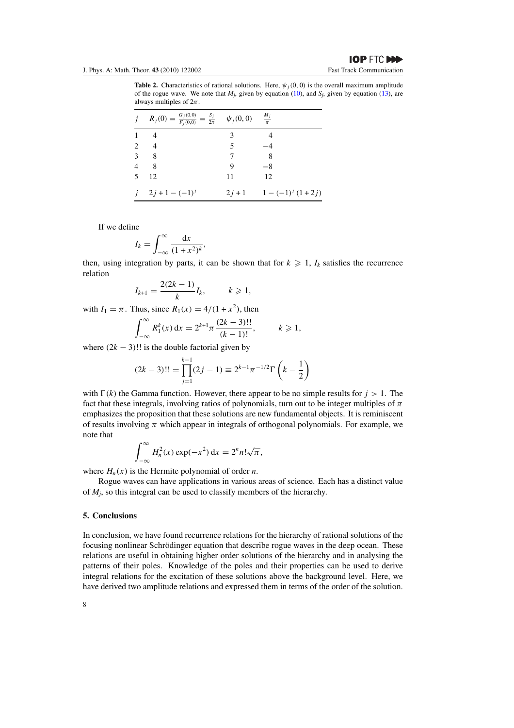<span id="page-9-0"></span>**Table 2.** Characteristics of rational solutions. Here,  $\psi_i(0, 0)$  is the overall maximum amplitude of the rogue wave. We note that  $M_j$ , given by equation [\(10\)](#page-5-0), and  $S_j$ , given by equation [\(13\)](#page-7-0), are always multiples of  $2\pi$ .

|    | $j$ $R_j(0) = \frac{G_j(0,0)}{F_j(0,0)} = \frac{S_j}{2\pi}$ $\psi_j(0,0)$ $\frac{M_j}{\pi}$ |    |                           |
|----|---------------------------------------------------------------------------------------------|----|---------------------------|
|    | -4                                                                                          | 3  |                           |
| 2  | $\overline{4}$                                                                              | 5  |                           |
|    | $3 \quad 8$                                                                                 |    | -8                        |
|    | $4\quad 8$                                                                                  | 9  | $-8$                      |
| -5 | 12                                                                                          | 11 | 12                        |
|    | $i = 2i + 1 - (-1)^{i}$                                                                     |    | $2j+1$ $1-(-1)^{j}(1+2j)$ |

If we define

$$
I_k = \int_{-\infty}^{\infty} \frac{\mathrm{d}x}{(1+x^2)^k},
$$

then, using integration by parts, it can be shown that for  $k \geq 1$ ,  $I_k$  satisfies the recurrence relation

$$
I_{k+1} = \frac{2(2k-1)}{k} I_k, \qquad k \geq 1,
$$

with  $I_1 = \pi$ . Thus, since  $R_1(x) = 4/(1 + x^2)$ , then

$$
\int_{-\infty}^{\infty} R_1^k(x) dx = 2^{k+1} \pi \frac{(2k-3)!!}{(k-1)!}, \qquad k \geq 1,
$$

where  $(2k - 3)!!$  is the double factorial given by

$$
(2k-3)!! = \prod_{j=1}^{k-1} (2j-1) \equiv 2^{k-1} \pi^{-1/2} \Gamma\left(k - \frac{1}{2}\right)
$$

with  $\Gamma(k)$  the Gamma function. However, there appear to be no simple results for  $j > 1$ . The fact that these integrals, involving ratios of polynomials, turn out to be integer multiples of  $\pi$ emphasizes the proposition that these solutions are new fundamental objects. It is reminiscent of results involving  $\pi$  which appear in integrals of orthogonal polynomials. For example, we note that

$$
\int_{-\infty}^{\infty} H_n^2(x) \exp(-x^2) dx = 2^n n! \sqrt{\pi},
$$

where  $H_n(x)$  is the Hermite polynomial of order *n*.

Rogue waves can have applications in various areas of science. Each has a distinct value of *M<sup>j</sup>* , so this integral can be used to classify members of the hierarchy.

#### **5. Conclusions**

In conclusion, we have found recurrence relations for the hierarchy of rational solutions of the focusing nonlinear Schrödinger equation that describe rogue waves in the deep ocean. These relations are useful in obtaining higher order solutions of the hierarchy and in analysing the patterns of their poles. Knowledge of the poles and their properties can be used to derive integral relations for the excitation of these solutions above the background level. Here, we have derived two amplitude relations and expressed them in terms of the order of the solution.